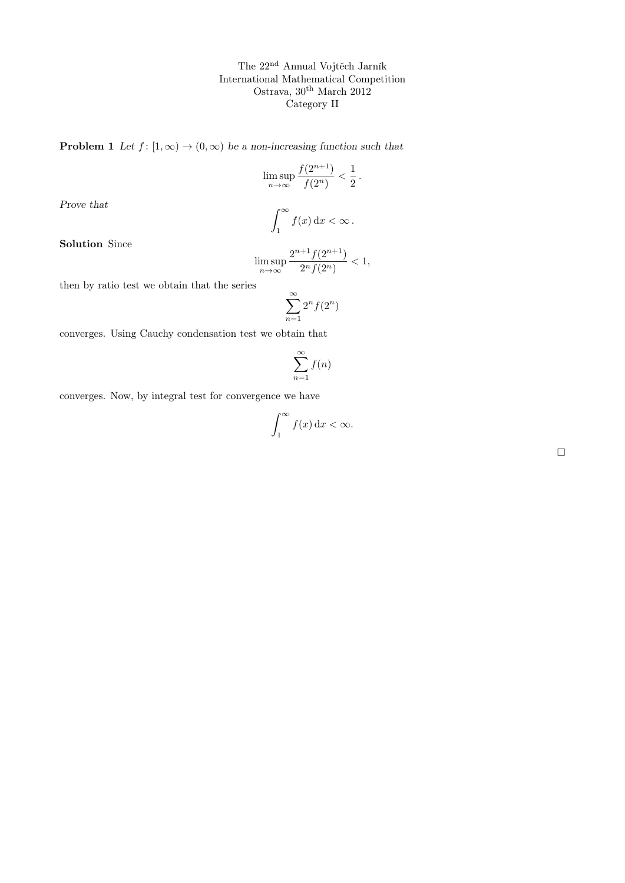**Problem 1** Let  $f: [1, \infty) \to (0, \infty)$  be a non-increasing function such that

$$
\limsup_{n\to\infty}\frac{f(2^{n+1})}{f(2^n)}<\frac{1}{2}\,.
$$

Prove that

$$
\int_1^\infty f(x) \, \mathrm{d}x < \infty \, .
$$

Solution Since

$$
\limsup_{n \to \infty} \frac{2^{n+1} f(2^{n+1})}{2^n f(2^n)} < 1,
$$

then by ratio test we obtain that the series

$$
\sum_{n=1}^{\infty} 2^n f(2^n)
$$

converges. Using Cauchy condensation test we obtain that

$$
\sum_{n=1}^{\infty} f(n)
$$

converges. Now, by integral test for convergence we have

$$
\int_{1}^{\infty} f(x) \, \mathrm{d}x < \infty.
$$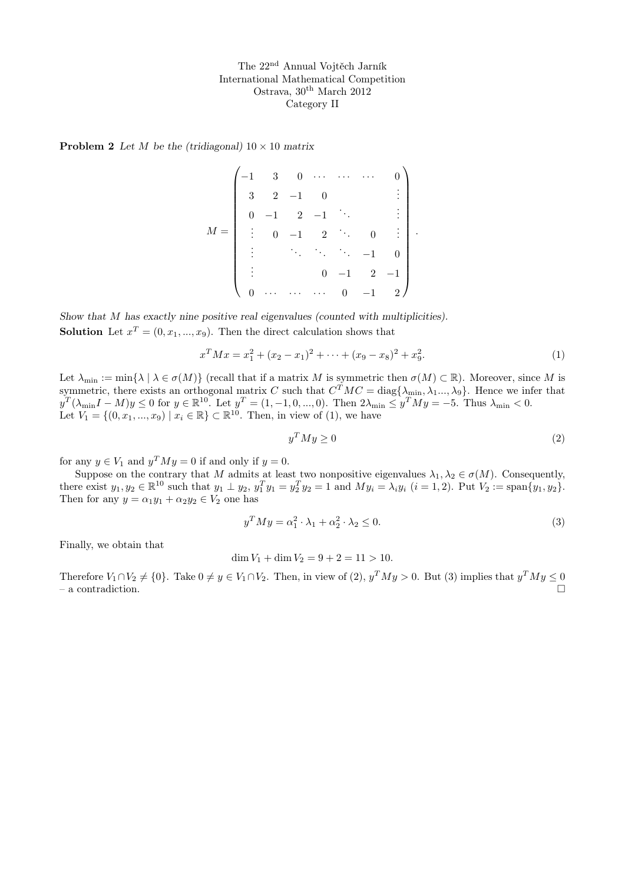**Problem 2** Let M be the (tridiagonal)  $10 \times 10$  matrix

$$
M = \begin{pmatrix}\n-1 & 3 & 0 & \cdots & \cdots & \cdots & 0 \\
3 & 2 & -1 & 0 & & & \vdots \\
0 & -1 & 2 & -1 & \ddots & & \vdots \\
\vdots & 0 & -1 & 2 & \ddots & 0 & \vdots \\
\vdots & & & \ddots & \ddots & \ddots & -1 & 0 \\
\vdots & & & & 0 & -1 & 2 & -1 \\
0 & \cdots & \cdots & \cdots & 0 & -1 & 2\n\end{pmatrix}.
$$

Show that M has exactly nine positive real eigenvalues (counted with multiplicities). **Solution** Let  $x^T = (0, x_1, ..., x_9)$ . Then the direct calculation shows that

$$
x^{T}Mx = x_1^{2} + (x_2 - x_1)^{2} + \dots + (x_9 - x_8)^{2} + x_9^{2}.
$$
 (1)

Let  $\lambda_{\min} := \min\{\lambda \mid \lambda \in \sigma(M)\}\$  (recall that if a matrix M is symmetric then  $\sigma(M) \subset \mathbb{R}$ ). Moreover, since M is symmetric, there exists an orthogonal matrix C such that  $C^{T}MC = \text{diag}\{\lambda_{\text{min}}, \lambda_1...\lambda_9\}$ . Hence we infer that  $y^T(\lambda_{\min}I - M)y \leq 0$  for  $y \in \mathbb{R}^{10}$ . Let  $y^T = (1, -1, 0, ..., 0)$ . Then  $2\lambda_{\min} \leq y^T My = -5$ . Thus  $\lambda_{\min} < 0$ . Let  $V_1 = \{(0, x_1, ..., x_9) \mid x_i \in \mathbb{R}\} \subset \mathbb{R}^{10}$ . Then, in view of (1), we have

$$
y^T M y \ge 0 \tag{2}
$$

for any  $y \in V_1$  and  $y^T M y = 0$  if and only if  $y = 0$ .

Suppose on the contrary that M admits at least two nonpositive eigenvalues  $\lambda_1, \lambda_2 \in \sigma(M)$ . Consequently, there exist  $y_1, y_2 \in \mathbb{R}^{10}$  such that  $y_1 \perp y_2, y_1^T y_1 = y_2^T y_2 = 1$  and  $My_i = \lambda_i y_i$   $(i = 1, 2)$ . Put  $V_2 := \text{span}\{y_1, y_2\}$ . Then for any  $y = \alpha_1 y_1 + \alpha_2 y_2 \in V_2$  one has

$$
y^T M y = \alpha_1^2 \cdot \lambda_1 + \alpha_2^2 \cdot \lambda_2 \le 0. \tag{3}
$$

Finally, we obtain that

$$
\dim V_1 + \dim V_2 = 9 + 2 = 11 > 10.
$$

Therefore  $V_1 \cap V_2 \neq \{0\}$ . Take  $0 \neq y \in V_1 \cap V_2$ . Then, in view of  $(2)$ ,  $y^T M y > 0$ . But  $(3)$  implies that  $y^T M y \leq 0$  $-$  a contradiction.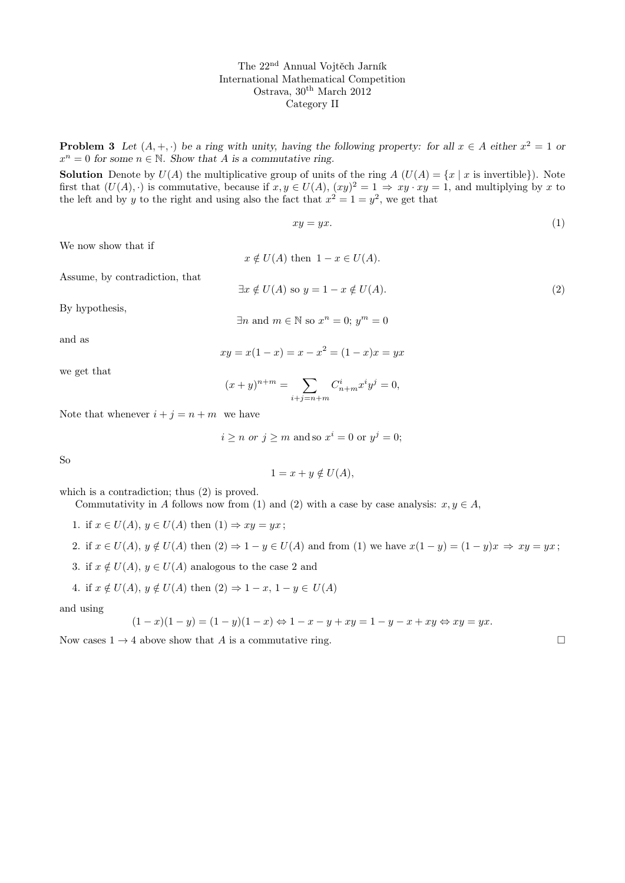**Problem 3** Let  $(A, +, \cdot)$  be a ring with unity, having the following property: for all  $x \in A$  either  $x^2 = 1$  or  $x^n = 0$  for some  $n \in \mathbb{N}$ . Show that A is a commutative ring.

**Solution** Denote by  $U(A)$  the multiplicative group of units of the ring  $A(U(A) = \{x \mid x \text{ is invertible}\})$ . Note first that  $(U(A), \cdot)$  is commutative, because if  $x, y \in U(A)$ ,  $(xy)^2 = 1 \Rightarrow xy \cdot xy = 1$ , and multiplying by x to the left and by y to the right and using also the fact that  $x^2 = 1 = y^2$ , we get that

$$
xy = yx.\tag{1}
$$

We now show that if

Assume, by contradiction, that

 $x \notin U(A)$  then  $1 - x \in U(A)$ .  $\exists x \notin U(A)$  so  $y = 1 - x \notin U(A)$ . (2)

By hypothesis,

$$
\exists n \text{ and } m \in \mathbb{N} \text{ so } x^n = 0; y^m = 0
$$

and as

$$
xy = x(1 - x) = x - x^2 = (1 - x)x = yx
$$

we get that

$$
(x+y)^{n+m} = \sum_{i+j=n+m} C_{n+m}^i x^i y^j = 0,
$$

Note that whenever  $i + j = n + m$  we have

$$
i \ge n
$$
 or  $j \ge m$  and so  $x^i = 0$  or  $y^j = 0$ ;

So

$$
1 = x + y \notin U(A),
$$

which is a contradiction; thus (2) is proved.

Commutativity in A follows now from (1) and (2) with a case by case analysis:  $x, y \in A$ ,

1. if  $x \in U(A)$ ,  $y \in U(A)$  then  $(1) \Rightarrow xy = yx$ ;

2. if 
$$
x \in U(A)
$$
,  $y \notin U(A)$  then  $(2) \Rightarrow 1 - y \in U(A)$  and from (1) we have  $x(1 - y) = (1 - y)x \Rightarrow xy = yx$ ;

3. if  $x \notin U(A)$ ,  $y \in U(A)$  analogous to the case 2 and

4. if 
$$
x \notin U(A)
$$
,  $y \notin U(A)$  then  $(2) \Rightarrow 1 - x$ ,  $1 - y \in U(A)$ 

and using

$$
(1-x)(1-y) = (1 - y)(1 - x) \Leftrightarrow 1 - x - y + xy = 1 - y - x + xy \Leftrightarrow xy = yx.
$$

Now cases  $1 \rightarrow 4$  above show that A is a commutative ring.